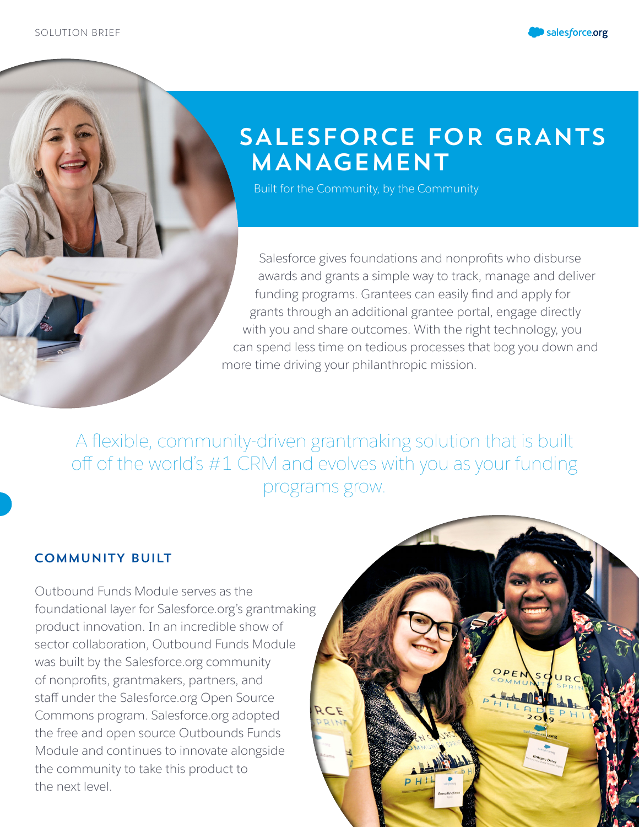



# SALESFORCE FOR GRANTS MANAGEMENT

Built for the Community, by the Community

Salesforce gives foundations and nonprofits who disburse awards and grants a simple way to track, manage and deliver funding programs. Grantees can easily find and apply for grants through an additional grantee portal, engage directly with you and share outcomes. With the right technology, you can spend less time on tedious processes that bog you down and more time driving your philanthropic mission.

A flexible, community-driven grantmaking solution that is built off of the world's #1 CRM and evolves with you as your funding programs grow.

## COMMUNITY BUILT

Outbound Funds Module serves as the foundational layer for Salesforce.org's grantmaking product innovation. In an incredible show of sector collaboration, Outbound Funds Module was built by the Salesforce.org community of nonprofits, grantmakers, partners, and staff under the Salesforce.org Open Source Commons program. Salesforce.org adopted the free and open source Outbounds Funds Module and continues to innovate alongside the community to take this product to the next level.